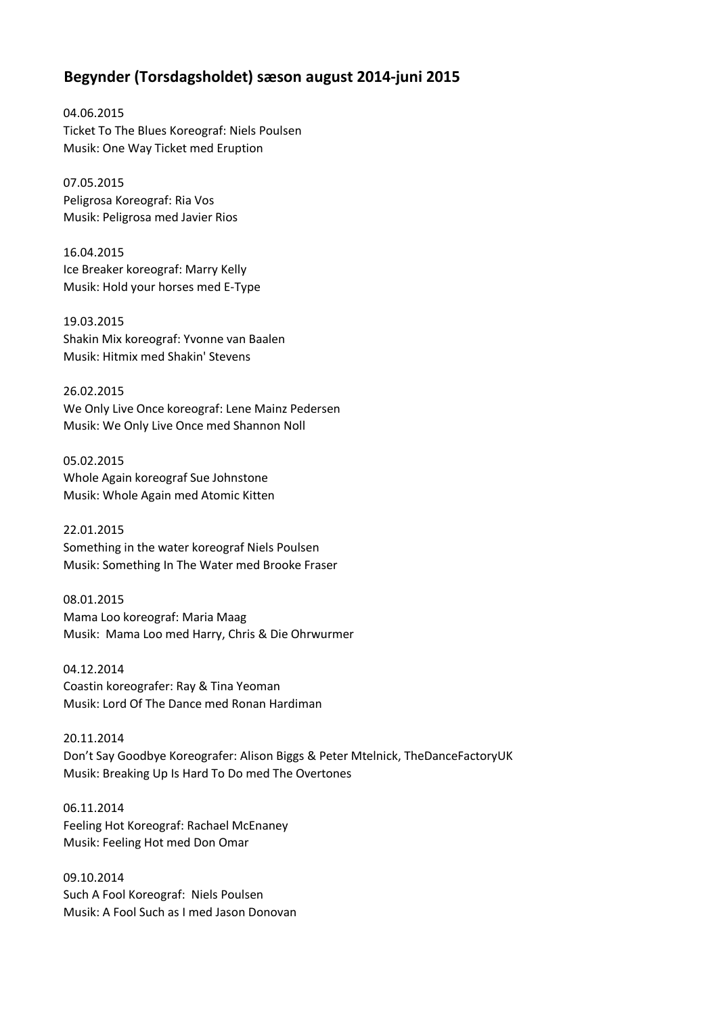## **Begynder (Torsdagsholdet) sæson august 2014-juni 2015**

04.06.2015 Ticket To The Blues Koreograf: Niels Poulsen Musik: One Way Ticket med Eruption

07.05.2015 Peligrosa Koreograf: Ria Vos Musik: Peligrosa med Javier Rios

16.04.2015 Ice Breaker koreograf: Marry Kelly Musik: Hold your horses med E-Type

19.03.2015 Shakin Mix koreograf: Yvonne van Baalen Musik: Hitmix med Shakin' Stevens

26.02.2015 We Only Live Once koreograf: Lene Mainz Pedersen Musik: We Only Live Once med Shannon Noll

05.02.2015 Whole Again koreograf Sue Johnstone Musik: Whole Again med Atomic Kitten

22.01.2015 Something in the water koreograf Niels Poulsen Musik: Something In The Water med Brooke Fraser

08.01.2015 Mama Loo koreograf: Maria Maag Musik: Mama Loo med Harry, Chris & Die Ohrwurmer

04.12.2014 Coastin koreografer: Ray & Tina Yeoman Musik: Lord Of The Dance med Ronan Hardiman

20.11.2014 Don't Say Goodbye Koreografer: Alison Biggs & Peter Mtelnick, TheDanceFactoryUK Musik: Breaking Up Is Hard To Do med The Overtones

06.11.2014 Feeling Hot Koreograf: Rachael McEnaney Musik: Feeling Hot med Don Omar

09.10.2014 Such A Fool Koreograf: Niels Poulsen Musik: A Fool Such as I med Jason Donovan